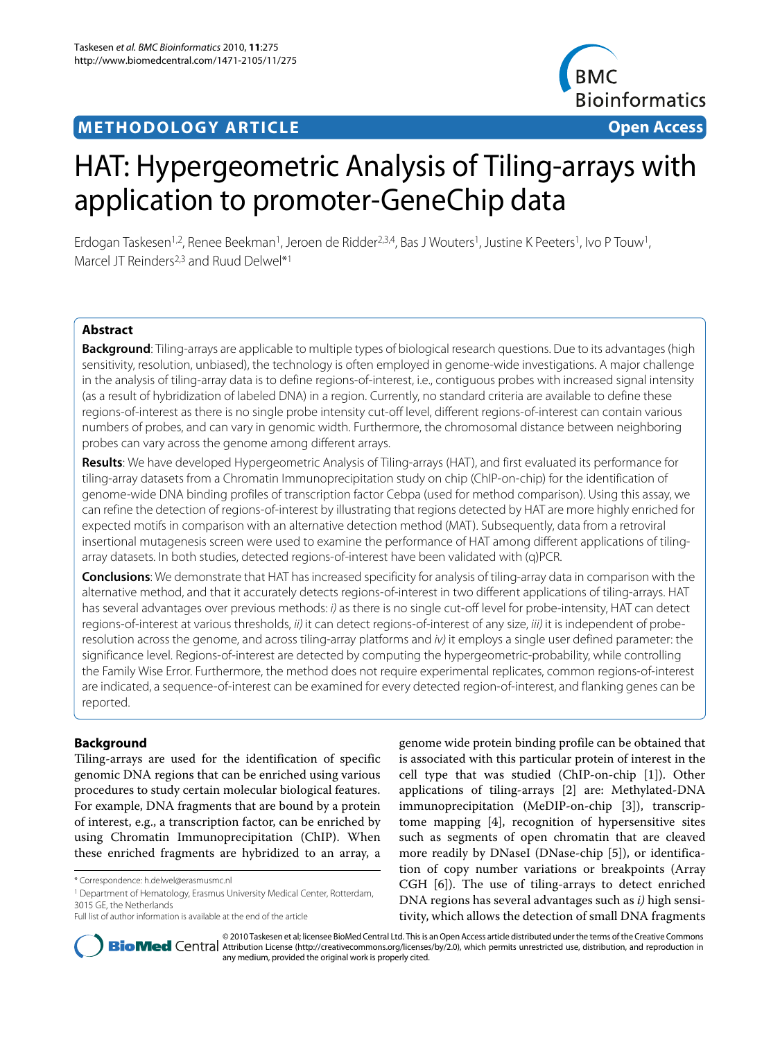## **METHODOLOGY ARTICLE Open Access**



# HAT: Hypergeometric Analysis of Tiling-arrays with application to promoter-GeneChip data

Erdogan Taskesen<sup>1,2</sup>, Renee Beekman<sup>1</sup>, Jeroen de Ridder<sup>2,3,4</sup>, Bas J Wouters<sup>1</sup>, Justine K Peeters<sup>1</sup>, Ivo P Touw<sup>1</sup>, Marcel JT Reinders<sup>2,3</sup> and Ruud Delwel<sup>\*1</sup>

## **Abstract**

**Background**: Tiling-arrays are applicable to multiple types of biological research questions. Due to its advantages (high sensitivity, resolution, unbiased), the technology is often employed in genome-wide investigations. A major challenge in the analysis of tiling-array data is to define regions-of-interest, i.e., contiguous probes with increased signal intensity (as a result of hybridization of labeled DNA) in a region. Currently, no standard criteria are available to define these regions-of-interest as there is no single probe intensity cut-off level, different regions-of-interest can contain various numbers of probes, and can vary in genomic width. Furthermore, the chromosomal distance between neighboring probes can vary across the genome among different arrays.

**Results**: We have developed Hypergeometric Analysis of Tiling-arrays (HAT), and first evaluated its performance for tiling-array datasets from a Chromatin Immunoprecipitation study on chip (ChIP-on-chip) for the identification of genome-wide DNA binding profiles of transcription factor Cebpa (used for method comparison). Using this assay, we can refine the detection of regions-of-interest by illustrating that regions detected by HAT are more highly enriched for expected motifs in comparison with an alternative detection method (MAT). Subsequently, data from a retroviral insertional mutagenesis screen were used to examine the performance of HAT among different applications of tilingarray datasets. In both studies, detected regions-of-interest have been validated with (q)PCR.

**Conclusions**: We demonstrate that HAT has increased specificity for analysis of tiling-array data in comparison with the alternative method, and that it accurately detects regions-of-interest in two different applications of tiling-arrays. HAT has several advantages over previous methods: i) as there is no single cut-off level for probe-intensity, HAT can detect regions-of-interest at various thresholds, ii) it can detect regions-of-interest of any size, iii) it is independent of proberesolution across the genome, and across tiling-array platforms and iv) it employs a single user defined parameter: the significance level. Regions-of-interest are detected by computing the hypergeometric-probability, while controlling the Family Wise Error. Furthermore, the method does not require experimental replicates, common regions-of-interest are indicated, a sequence-of-interest can be examined for every detected region-of-interest, and flanking genes can be reported.

## **Background**

Tiling-arrays are used for the identification of specific genomic DNA regions that can be enriched using various procedures to study certain molecular biological features. For example, DNA fragments that are bound by a protein of interest, e.g., a transcription factor, can be enriched by using Chromatin Immunoprecipitation (ChIP). When these enriched fragments are hybridized to an array, a

genome wide protein binding profile can be obtained that is associated with this particular protein of interest in the cell type that was studied (ChIP-on-chip [[1\]](#page-10-0)). Other applications of tiling-arrays [\[2](#page-10-1)] are: Methylated-DNA immunoprecipitation (MeDIP-on-chip [[3\]](#page-10-2)), transcriptome mapping [\[4](#page-10-3)], recognition of hypersensitive sites such as segments of open chromatin that are cleaved more readily by DNaseI (DNase-chip [\[5](#page-10-4)]), or identification of copy number variations or breakpoints (Array CGH [\[6](#page-10-5)]). The use of tiling-arrays to detect enriched DNA regions has several advantages such as *i)* high sensitivity, which allows the detection of small DNA fragments



© 2010 Taskesen et al; licensee BioMed Central Ltd. This is an Open Access article distributed under the terms of the Creative Commons Bio Med Central Attribution License (http://creativecommons.org/licenses/by/2.0), which permits unrestricted use, distribution, and reproduction in any medium, provided the original work is properly cited.

<sup>\*</sup> Correspondence: h.delwel@erasmusmc.nl

<sup>&</sup>lt;sup>1</sup> Department of Hematology, Erasmus University Medical Center, Rotterdam, 3015 GE, the Netherlands

Full list of author information is available at the end of the article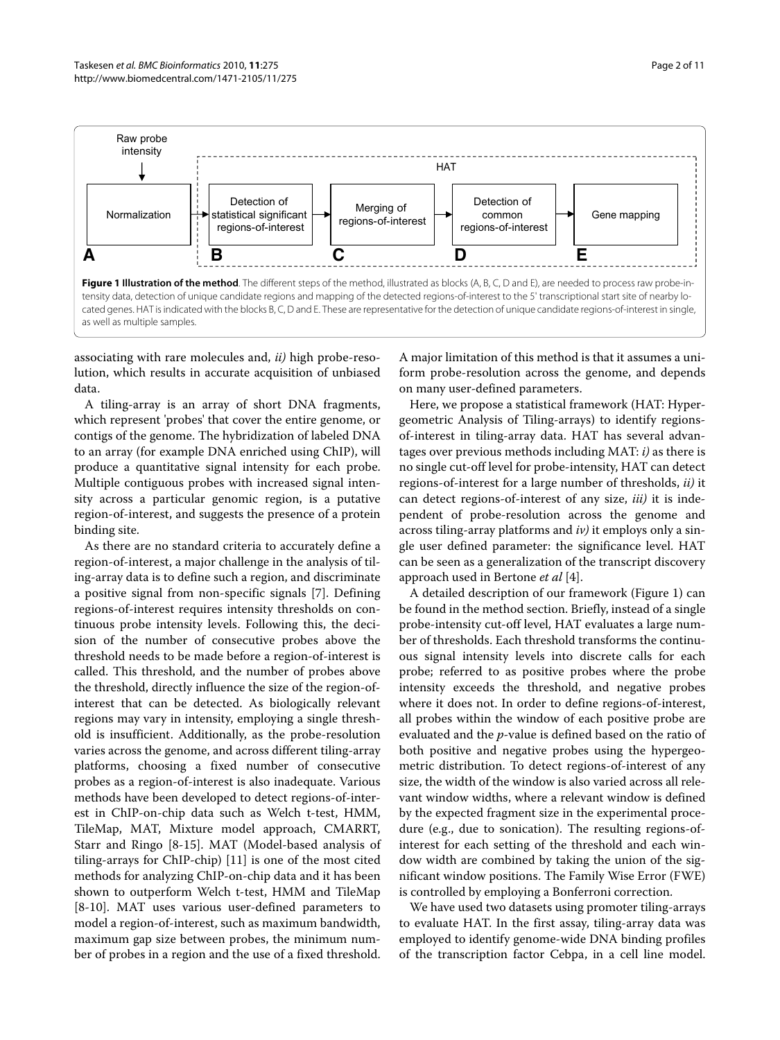<span id="page-1-0"></span>

associating with rare molecules and, *ii)* high probe-resolution, which results in accurate acquisition of unbiased data.

A tiling-array is an array of short DNA fragments, which represent 'probes' that cover the entire genome, or contigs of the genome. The hybridization of labeled DNA to an array (for example DNA enriched using ChIP), will produce a quantitative signal intensity for each probe. Multiple contiguous probes with increased signal intensity across a particular genomic region, is a putative region-of-interest, and suggests the presence of a protein binding site.

As there are no standard criteria to accurately define a region-of-interest, a major challenge in the analysis of tiling-array data is to define such a region, and discriminate a positive signal from non-specific signals [[7\]](#page-10-6). Defining regions-of-interest requires intensity thresholds on continuous probe intensity levels. Following this, the decision of the number of consecutive probes above the threshold needs to be made before a region-of-interest is called. This threshold, and the number of probes above the threshold, directly influence the size of the region-ofinterest that can be detected. As biologically relevant regions may vary in intensity, employing a single threshold is insufficient. Additionally, as the probe-resolution varies across the genome, and across different tiling-array platforms, choosing a fixed number of consecutive probes as a region-of-interest is also inadequate. Various methods have been developed to detect regions-of-interest in ChIP-on-chip data such as Welch t-test, HMM, TileMap, MAT, Mixture model approach, CMARRT, Starr and Ringo [[8-](#page-10-7)[15\]](#page-10-8). MAT (Model-based analysis of tiling-arrays for ChIP-chip) [[11](#page-10-9)] is one of the most cited methods for analyzing ChIP-on-chip data and it has been shown to outperform Welch t-test, HMM and TileMap [[8](#page-10-7)[-10](#page-10-10)]. MAT uses various user-defined parameters to model a region-of-interest, such as maximum bandwidth, maximum gap size between probes, the minimum number of probes in a region and the use of a fixed threshold. A major limitation of this method is that it assumes a uniform probe-resolution across the genome, and depends on many user-defined parameters.

Here, we propose a statistical framework (HAT: Hypergeometric Analysis of Tiling-arrays) to identify regionsof-interest in tiling-array data. HAT has several advantages over previous methods including MAT: *i)* as there is no single cut-off level for probe-intensity, HAT can detect regions-of-interest for a large number of thresholds, *ii)* it can detect regions-of-interest of any size, *iii)* it is independent of probe-resolution across the genome and across tiling-array platforms and *iv)* it employs only a single user defined parameter: the significance level. HAT can be seen as a generalization of the transcript discovery approach used in Bertone *et al* [[4\]](#page-10-3).

A detailed description of our framework (Figure [1](#page-1-0)) can be found in the method section. Briefly, instead of a single probe-intensity cut-off level, HAT evaluates a large number of thresholds. Each threshold transforms the continuous signal intensity levels into discrete calls for each probe; referred to as positive probes where the probe intensity exceeds the threshold, and negative probes where it does not. In order to define regions-of-interest, all probes within the window of each positive probe are evaluated and the *p*-value is defined based on the ratio of both positive and negative probes using the hypergeometric distribution. To detect regions-of-interest of any size, the width of the window is also varied across all relevant window widths, where a relevant window is defined by the expected fragment size in the experimental procedure (e.g., due to sonication). The resulting regions-ofinterest for each setting of the threshold and each window width are combined by taking the union of the significant window positions. The Family Wise Error (FWE) is controlled by employing a Bonferroni correction.

We have used two datasets using promoter tiling-arrays to evaluate HAT. In the first assay, tiling-array data was employed to identify genome-wide DNA binding profiles of the transcription factor Cebpa, in a cell line model.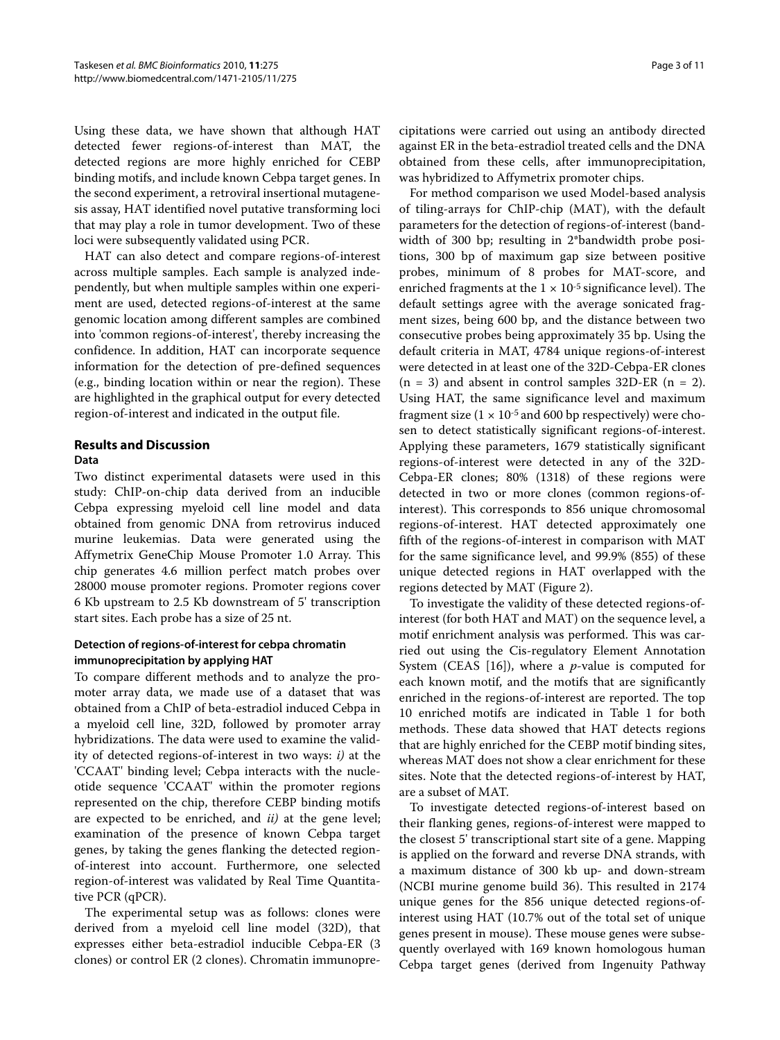Using these data, we have shown that although HAT detected fewer regions-of-interest than MAT, the detected regions are more highly enriched for CEBP binding motifs, and include known Cebpa target genes. In the second experiment, a retroviral insertional mutagenesis assay, HAT identified novel putative transforming loci that may play a role in tumor development. Two of these loci were subsequently validated using PCR.

HAT can also detect and compare regions-of-interest across multiple samples. Each sample is analyzed independently, but when multiple samples within one experiment are used, detected regions-of-interest at the same genomic location among different samples are combined into 'common regions-of-interest', thereby increasing the confidence. In addition, HAT can incorporate sequence information for the detection of pre-defined sequences (e.g., binding location within or near the region). These are highlighted in the graphical output for every detected region-of-interest and indicated in the output file.

## **Results and Discussion**

#### **Data**

Two distinct experimental datasets were used in this study: ChIP-on-chip data derived from an inducible Cebpa expressing myeloid cell line model and data obtained from genomic DNA from retrovirus induced murine leukemias. Data were generated using the Affymetrix GeneChip Mouse Promoter 1.0 Array. This chip generates 4.6 million perfect match probes over 28000 mouse promoter regions. Promoter regions cover 6 Kb upstream to 2.5 Kb downstream of 5' transcription start sites. Each probe has a size of 25 nt.

## **Detection of regions-of-interest for cebpa chromatin immunoprecipitation by applying HAT**

To compare different methods and to analyze the promoter array data, we made use of a dataset that was obtained from a ChIP of beta-estradiol induced Cebpa in a myeloid cell line, 32D, followed by promoter array hybridizations. The data were used to examine the validity of detected regions-of-interest in two ways: *i)* at the 'CCAAT' binding level; Cebpa interacts with the nucleotide sequence 'CCAAT' within the promoter regions represented on the chip, therefore CEBP binding motifs are expected to be enriched, and *ii)* at the gene level; examination of the presence of known Cebpa target genes, by taking the genes flanking the detected regionof-interest into account. Furthermore, one selected region-of-interest was validated by Real Time Quantitative PCR (qPCR).

The experimental setup was as follows: clones were derived from a myeloid cell line model (32D), that expresses either beta-estradiol inducible Cebpa-ER (3 clones) or control ER (2 clones). Chromatin immunopre-

cipitations were carried out using an antibody directed against ER in the beta-estradiol treated cells and the DNA obtained from these cells, after immunoprecipitation, was hybridized to Affymetrix promoter chips.

For method comparison we used Model-based analysis of tiling-arrays for ChIP-chip (MAT), with the default parameters for the detection of regions-of-interest (bandwidth of 300 bp; resulting in 2\*bandwidth probe positions, 300 bp of maximum gap size between positive probes, minimum of 8 probes for MAT-score, and enriched fragments at the  $1 \times 10^{-5}$  significance level). The default settings agree with the average sonicated fragment sizes, being 600 bp, and the distance between two consecutive probes being approximately 35 bp. Using the default criteria in MAT, 4784 unique regions-of-interest were detected in at least one of the 32D-Cebpa-ER clones  $(n = 3)$  and absent in control samples 32D-ER  $(n = 2)$ . Using HAT, the same significance level and maximum fragment size  $(1 \times 10^{-5}$  and 600 bp respectively) were chosen to detect statistically significant regions-of-interest. Applying these parameters, 1679 statistically significant regions-of-interest were detected in any of the 32D-Cebpa-ER clones; 80% (1318) of these regions were detected in two or more clones (common regions-ofinterest). This corresponds to 856 unique chromosomal regions-of-interest. HAT detected approximately one fifth of the regions-of-interest in comparison with MAT for the same significance level, and 99.9% (855) of these unique detected regions in HAT overlapped with the regions detected by MAT (Figure [2](#page-3-0)).

To investigate the validity of these detected regions-ofinterest (for both HAT and MAT) on the sequence level, a motif enrichment analysis was performed. This was carried out using the Cis-regulatory Element Annotation System (CEAS [\[16\]](#page-10-11)), where a *p*-value is computed for each known motif, and the motifs that are significantly enriched in the regions-of-interest are reported. The top 10 enriched motifs are indicated in Table 1 for both methods. These data showed that HAT detects regions that are highly enriched for the CEBP motif binding sites, whereas MAT does not show a clear enrichment for these sites. Note that the detected regions-of-interest by HAT, are a subset of MAT.

To investigate detected regions-of-interest based on their flanking genes, regions-of-interest were mapped to the closest 5' transcriptional start site of a gene. Mapping is applied on the forward and reverse DNA strands, with a maximum distance of 300 kb up- and down-stream (NCBI murine genome build 36). This resulted in 2174 unique genes for the 856 unique detected regions-ofinterest using HAT (10.7% out of the total set of unique genes present in mouse). These mouse genes were subsequently overlayed with 169 known homologous human Cebpa target genes (derived from Ingenuity Pathway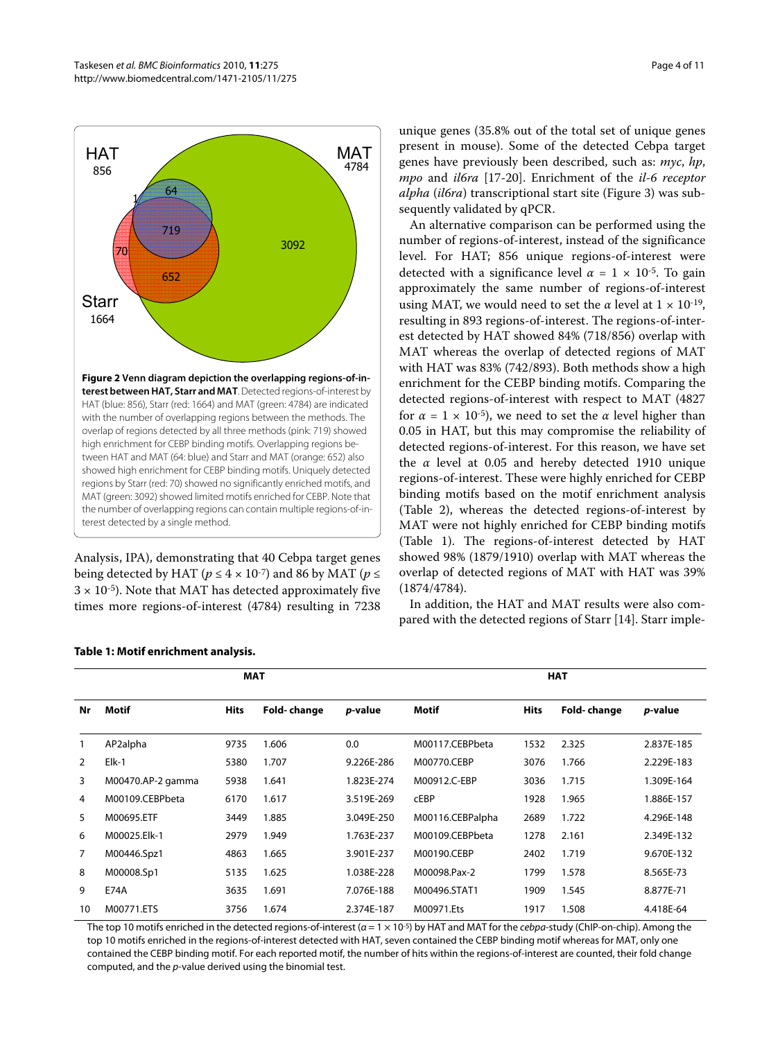<span id="page-3-0"></span>

Analysis, IPA), demonstrating that 40 Cebpa target genes being detected by HAT ( $p \leq 4 \times 10^{-7}$ ) and 86 by MAT ( $p \leq$  $3 \times 10^{-5}$ ). Note that MAT has detected approximately five times more regions-of-interest (4784) resulting in 7238

unique genes (35.8% out of the total set of unique genes present in mouse). Some of the detected Cebpa target genes have previously been described, such as: *myc*, *hp*, *mpo* and *il6ra* [[17-](#page-10-12)[20\]](#page-10-13). Enrichment of the *il-6 receptor alpha* (*il6ra*) transcriptional start site (Figure [3\)](#page-4-0) was subsequently validated by qPCR.

An alternative comparison can be performed using the number of regions-of-interest, instead of the significance level. For HAT; 856 unique regions-of-interest were detected with a significance level  $\alpha = 1 \times 10^{-5}$ . To gain approximately the same number of regions-of-interest using MAT, we would need to set the  $\alpha$  level at  $1 \times 10^{-19}$ , resulting in 893 regions-of-interest. The regions-of-interest detected by HAT showed 84% (718/856) overlap with MAT whereas the overlap of detected regions of MAT with HAT was 83% (742/893). Both methods show a high enrichment for the CEBP binding motifs. Comparing the detected regions-of-interest with respect to MAT (4827 for  $\alpha = 1 \times 10^{-5}$ , we need to set the  $\alpha$  level higher than 0.05 in HAT, but this may compromise the reliability of detected regions-of-interest. For this reason, we have set the *α* level at 0.05 and hereby detected 1910 unique regions-of-interest. These were highly enriched for CEBP binding motifs based on the motif enrichment analysis (Table [2](#page-5-0)), whereas the detected regions-of-interest by MAT were not highly enriched for CEBP binding motifs (Table 1). The regions-of-interest detected by HAT showed 98% (1879/1910) overlap with MAT whereas the overlap of detected regions of MAT with HAT was 39% (1874/4784).

In addition, the HAT and MAT results were also compared with the detected regions of Starr [\[14\]](#page-10-14). Starr imple-

|                | <b>MAT</b>        |             |             |            | <b>HAT</b>       |             |             |                 |
|----------------|-------------------|-------------|-------------|------------|------------------|-------------|-------------|-----------------|
| Nr             | Motif             | <b>Hits</b> | Fold-change | p-value    | Motif            | <b>Hits</b> | Fold-change | <i>p</i> -value |
| 1              | AP2alpha          | 9735        | 1.606       | 0.0        | M00117.CEBPbeta  | 1532        | 2.325       | 2.837E-185      |
| 2              | $E$ <sub>-1</sub> | 5380        | 1.707       | 9.226E-286 | M00770.CEBP      | 3076        | 1.766       | 2.229E-183      |
| 3              | M00470.AP-2 gamma | 5938        | 1.641       | 1.823E-274 | M00912.C-EBP     | 3036        | 1.715       | 1.309E-164      |
| 4              | M00109.CEBPbeta   | 6170        | 1.617       | 3.519E-269 | <b>CEBP</b>      | 1928        | 1.965       | 1.886E-157      |
| 5.             | M00695.ETF        | 3449        | 1.885       | 3.049E-250 | M00116.CEBPalpha | 2689        | 1.722       | 4.296E-148      |
| 6              | M00025.Elk-1      | 2979        | 1.949       | 1.763E-237 | M00109.CEBPbeta  | 1278        | 2.161       | 2.349E-132      |
| $\overline{7}$ | M00446.Spz1       | 4863        | 1.665       | 3.901E-237 | M00190.CEBP      | 2402        | 1.719       | 9.670E-132      |
| 8              | M00008.Sp1        | 5135        | 1.625       | 1.038E-228 | M00098.Pax-2     | 1799        | 1.578       | 8.565E-73       |
| 9              | E74A              | 3635        | 1.691       | 7.076E-188 | M00496.STAT1     | 1909        | 1.545       | 8.877E-71       |
| 10             | M00771.ETS        | 3756        | 1.674       | 2.374E-187 | M00971.Ets       | 1917        | 1.508       | 4.418E-64       |

**Table 1: Motif enrichment analysis.**

The top 10 motifs enriched in the detected regions-of-interest ( $a = 1 \times 10^{-5}$ ) by HAT and MAT for the *cebpa*-study (ChIP-on-chip). Among the top 10 motifs enriched in the regions-of-interest detected with HAT, seven contained the CEBP binding motif whereas for MAT, only one contained the CEBP binding motif. For each reported motif, the number of hits within the regions-of-interest are counted, their fold change computed, and the p-value derived using the binomial test.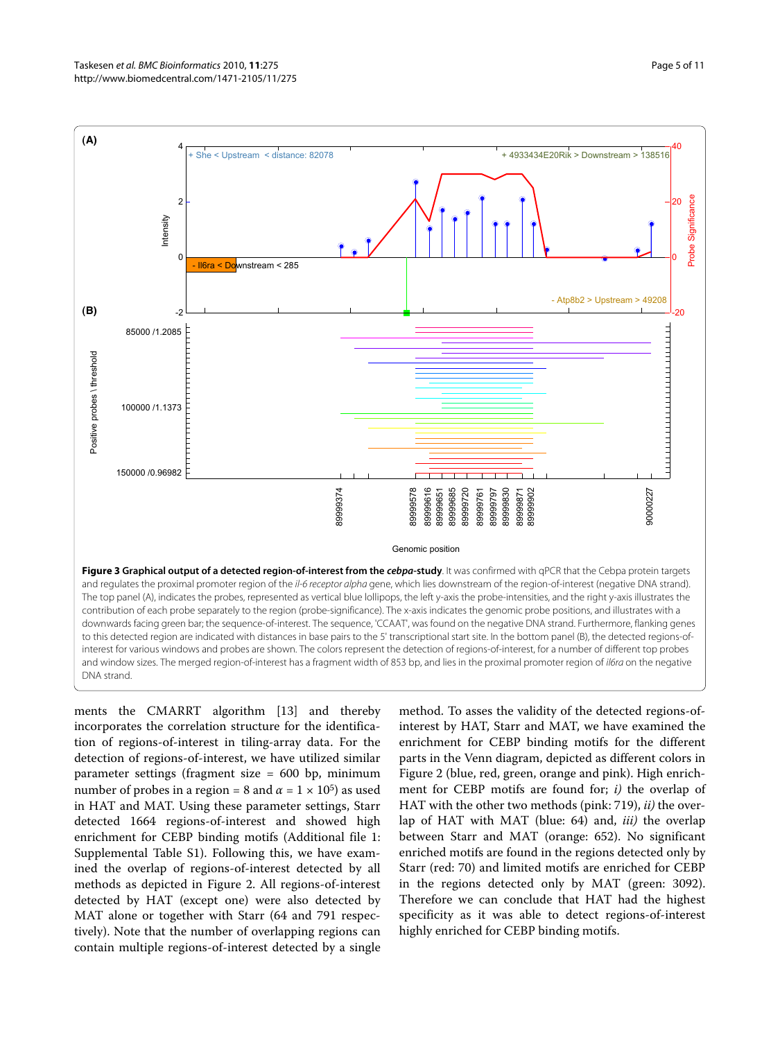

<span id="page-4-0"></span>

ments the CMARRT algorithm [\[13](#page-10-15)] and thereby incorporates the correlation structure for the identification of regions-of-interest in tiling-array data. For the detection of regions-of-interest, we have utilized similar parameter settings (fragment size = 600 bp, minimum number of probes in a region = 8 and  $\alpha = 1 \times 10^5$ ) as used in HAT and MAT. Using these parameter settings, Starr detected 1664 regions-of-interest and showed high enrichment for CEBP binding motifs (Additional file [1](#page-10-16): Supplemental Table S1). Following this, we have examined the overlap of regions-of-interest detected by all methods as depicted in Figure [2.](#page-3-0) All regions-of-interest detected by HAT (except one) were also detected by MAT alone or together with Starr (64 and 791 respectively). Note that the number of overlapping regions can contain multiple regions-of-interest detected by a single

method. To asses the validity of the detected regions-ofinterest by HAT, Starr and MAT, we have examined the enrichment for CEBP binding motifs for the different parts in the Venn diagram, depicted as different colors in Figure [2](#page-3-0) (blue, red, green, orange and pink). High enrichment for CEBP motifs are found for; *i)* the overlap of HAT with the other two methods (pink: 719), *ii)* the overlap of HAT with MAT (blue: 64) and, *iii)* the overlap between Starr and MAT (orange: 652). No significant enriched motifs are found in the regions detected only by Starr (red: 70) and limited motifs are enriched for CEBP in the regions detected only by MAT (green: 3092). Therefore we can conclude that HAT had the highest specificity as it was able to detect regions-of-interest highly enriched for CEBP binding motifs.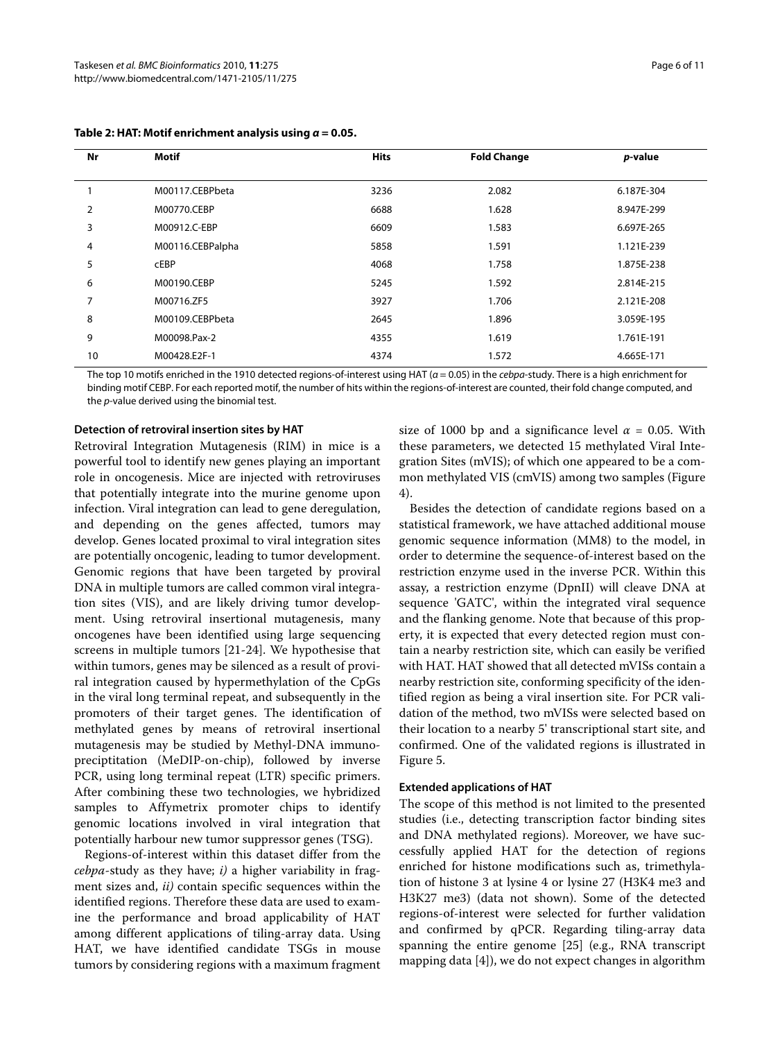| Nr | Motif            | <b>Hits</b> | <b>Fold Change</b> | p-value    |
|----|------------------|-------------|--------------------|------------|
|    |                  |             |                    |            |
|    | M00117.CEBPbeta  | 3236        | 2.082              | 6.187E-304 |
| 2  | M00770.CEBP      | 6688        | 1.628              | 8.947E-299 |
| 3  | M00912.C-EBP     | 6609        | 1.583              | 6.697E-265 |
| 4  | M00116.CEBPalpha | 5858        | 1.591              | 1.121E-239 |
| 5  | cEBP             | 4068        | 1.758              | 1.875E-238 |
| 6  | M00190.CEBP      | 5245        | 1.592              | 2.814E-215 |
| 7  | M00716.ZF5       | 3927        | 1.706              | 2.121E-208 |
| 8  | M00109.CEBPbeta  | 2645        | 1.896              | 3.059E-195 |
| 9  | M00098.Pax-2     | 4355        | 1.619              | 1.761E-191 |
| 10 | M00428.E2F-1     | 4374        | 1.572              | 4.665E-171 |

#### <span id="page-5-0"></span>**Table 2: HAT: Motif enrichment analysis using**  $\alpha = 0.05$ **.**

The top 10 motifs enriched in the 1910 detected regions-of-interest using HAT ( $a = 0.05$ ) in the *cebpa*-study. There is a high enrichment for binding motif CEBP. For each reported motif, the number of hits within the regions-of-interest are counted, their fold change computed, and the p-value derived using the binomial test.

#### **Detection of retroviral insertion sites by HAT**

Retroviral Integration Mutagenesis (RIM) in mice is a powerful tool to identify new genes playing an important role in oncogenesis. Mice are injected with retroviruses that potentially integrate into the murine genome upon infection. Viral integration can lead to gene deregulation, and depending on the genes affected, tumors may develop. Genes located proximal to viral integration sites are potentially oncogenic, leading to tumor development. Genomic regions that have been targeted by proviral DNA in multiple tumors are called common viral integration sites (VIS), and are likely driving tumor development. Using retroviral insertional mutagenesis, many oncogenes have been identified using large sequencing screens in multiple tumors [\[21](#page-10-17)-[24\]](#page-10-18). We hypothesise that within tumors, genes may be silenced as a result of proviral integration caused by hypermethylation of the CpGs in the viral long terminal repeat, and subsequently in the promoters of their target genes. The identification of methylated genes by means of retroviral insertional mutagenesis may be studied by Methyl-DNA immunopreciptitation (MeDIP-on-chip), followed by inverse PCR, using long terminal repeat (LTR) specific primers. After combining these two technologies, we hybridized samples to Affymetrix promoter chips to identify genomic locations involved in viral integration that potentially harbour new tumor suppressor genes (TSG).

Regions-of-interest within this dataset differ from the *cebpa*-study as they have; *i)* a higher variability in fragment sizes and, *ii)* contain specific sequences within the identified regions. Therefore these data are used to examine the performance and broad applicability of HAT among different applications of tiling-array data. Using HAT, we have identified candidate TSGs in mouse tumors by considering regions with a maximum fragment size of 1000 bp and a significance level  $\alpha = 0.05$ . With these parameters, we detected 15 methylated Viral Integration Sites (mVIS); of which one appeared to be a common methylated VIS (cmVIS) among two samples (Figure [4\)](#page-6-0).

Besides the detection of candidate regions based on a statistical framework, we have attached additional mouse genomic sequence information (MM8) to the model, in order to determine the sequence-of-interest based on the restriction enzyme used in the inverse PCR. Within this assay, a restriction enzyme (DpnII) will cleave DNA at sequence 'GATC', within the integrated viral sequence and the flanking genome. Note that because of this property, it is expected that every detected region must contain a nearby restriction site, which can easily be verified with HAT. HAT showed that all detected mVISs contain a nearby restriction site, conforming specificity of the identified region as being a viral insertion site. For PCR validation of the method, two mVISs were selected based on their location to a nearby 5' transcriptional start site, and confirmed. One of the validated regions is illustrated in Figure [5.](#page-7-0)

#### **Extended applications of HAT**

The scope of this method is not limited to the presented studies (i.e., detecting transcription factor binding sites and DNA methylated regions). Moreover, we have successfully applied HAT for the detection of regions enriched for histone modifications such as, trimethylation of histone 3 at lysine 4 or lysine 27 (H3K4 me3 and H3K27 me3) (data not shown). Some of the detected regions-of-interest were selected for further validation and confirmed by qPCR. Regarding tiling-array data spanning the entire genome [\[25](#page-10-19)] (e.g., RNA transcript mapping data [[4\]](#page-10-3)), we do not expect changes in algorithm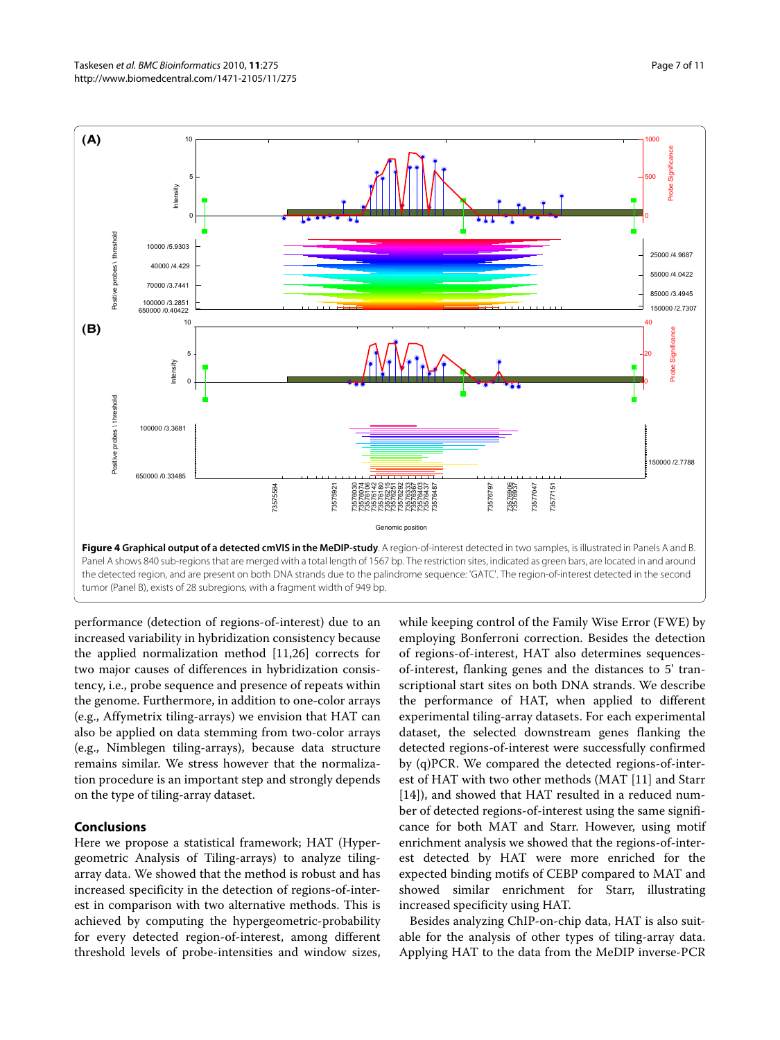<span id="page-6-0"></span>

performance (detection of regions-of-interest) due to an increased variability in hybridization consistency because the applied normalization method [\[11,](#page-10-9)[26\]](#page-10-20) corrects for two major causes of differences in hybridization consistency, i.e., probe sequence and presence of repeats within the genome. Furthermore, in addition to one-color arrays (e.g., Affymetrix tiling-arrays) we envision that HAT can also be applied on data stemming from two-color arrays (e.g., Nimblegen tiling-arrays), because data structure remains similar. We stress however that the normalization procedure is an important step and strongly depends on the type of tiling-array dataset.

#### **Conclusions**

Here we propose a statistical framework; HAT (Hypergeometric Analysis of Tiling-arrays) to analyze tilingarray data. We showed that the method is robust and has increased specificity in the detection of regions-of-interest in comparison with two alternative methods. This is achieved by computing the hypergeometric-probability for every detected region-of-interest, among different threshold levels of probe-intensities and window sizes,

while keeping control of the Family Wise Error (FWE) by employing Bonferroni correction. Besides the detection of regions-of-interest, HAT also determines sequencesof-interest, flanking genes and the distances to 5' transcriptional start sites on both DNA strands. We describe the performance of HAT, when applied to different experimental tiling-array datasets. For each experimental dataset, the selected downstream genes flanking the detected regions-of-interest were successfully confirmed by (q)PCR. We compared the detected regions-of-interest of HAT with two other methods (MAT [\[11\]](#page-10-9) and Starr [[14\]](#page-10-14)), and showed that HAT resulted in a reduced number of detected regions-of-interest using the same significance for both MAT and Starr. However, using motif enrichment analysis we showed that the regions-of-interest detected by HAT were more enriched for the expected binding motifs of CEBP compared to MAT and showed similar enrichment for Starr, illustrating increased specificity using HAT.

Besides analyzing ChIP-on-chip data, HAT is also suitable for the analysis of other types of tiling-array data. Applying HAT to the data from the MeDIP inverse-PCR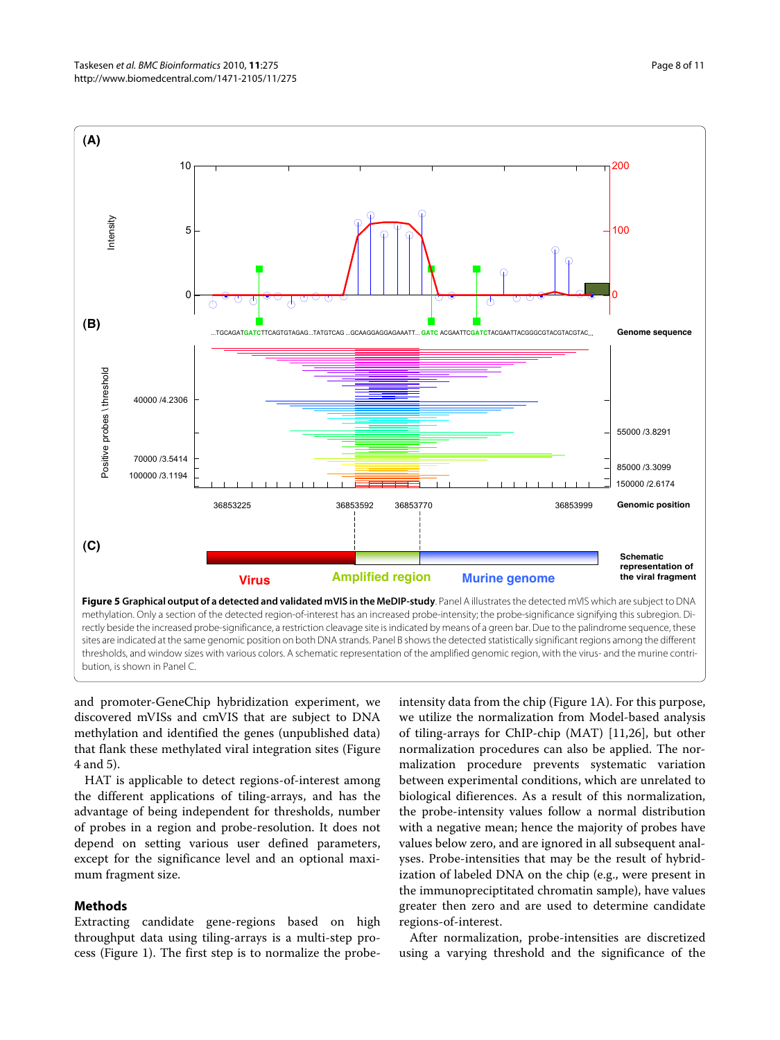<span id="page-7-0"></span>

and promoter-GeneChip hybridization experiment, we discovered mVISs and cmVIS that are subject to DNA methylation and identified the genes (unpublished data) that flank these methylated viral integration sites (Figure [4](#page-6-0) and [5](#page-7-0)).

HAT is applicable to detect regions-of-interest among the different applications of tiling-arrays, and has the advantage of being independent for thresholds, number of probes in a region and probe-resolution. It does not depend on setting various user defined parameters, except for the significance level and an optional maximum fragment size.

## **Methods**

Extracting candidate gene-regions based on high throughput data using tiling-arrays is a multi-step process (Figure [1\)](#page-1-0). The first step is to normalize the probeintensity data from the chip (Figure [1](#page-1-0)A). For this purpose, we utilize the normalization from Model-based analysis of tiling-arrays for ChIP-chip (MAT) [[11,](#page-10-9)[26\]](#page-10-20), but other normalization procedures can also be applied. The normalization procedure prevents systematic variation between experimental conditions, which are unrelated to biological difierences. As a result of this normalization, the probe-intensity values follow a normal distribution with a negative mean; hence the majority of probes have values below zero, and are ignored in all subsequent analyses. Probe-intensities that may be the result of hybridization of labeled DNA on the chip (e.g., were present in the immunopreciptitated chromatin sample), have values greater then zero and are used to determine candidate regions-of-interest.

After normalization, probe-intensities are discretized using a varying threshold and the significance of the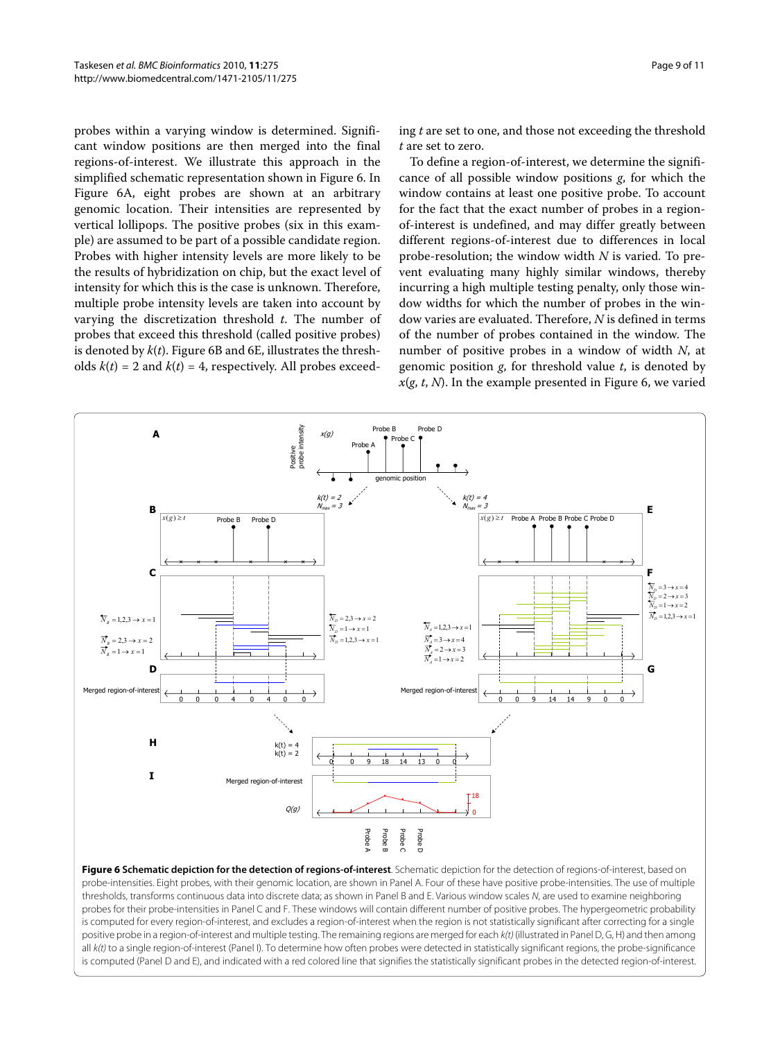probes within a varying window is determined. Significant window positions are then merged into the final regions-of-interest. We illustrate this approach in the simplified schematic representation shown in Figure [6](#page-8-0). In Figure [6](#page-8-0)A, eight probes are shown at an arbitrary genomic location. Their intensities are represented by vertical lollipops. The positive probes (six in this example) are assumed to be part of a possible candidate region. Probes with higher intensity levels are more likely to be the results of hybridization on chip, but the exact level of intensity for which this is the case is unknown. Therefore, multiple probe intensity levels are taken into account by varying the discretization threshold *t*. The number of probes that exceed this threshold (called positive probes) is denoted by *k*(*t*). Figure [6B](#page-8-0) and [6](#page-8-0)E, illustrates the thresholds  $k(t) = 2$  and  $k(t) = 4$ , respectively. All probes exceeding *t* are set to one, and those not exceeding the threshold *t* are set to zero.

To define a region-of-interest, we determine the significance of all possible window positions *g*, for which the window contains at least one positive probe. To account for the fact that the exact number of probes in a regionof-interest is undefined, and may differ greatly between different regions-of-interest due to differences in local probe-resolution; the window width *N* is varied. To prevent evaluating many highly similar windows, thereby incurring a high multiple testing penalty, only those window widths for which the number of probes in the window varies are evaluated. Therefore, *N* is defined in terms of the number of probes contained in the window. The number of positive probes in a window of width *N*, at genomic position *g*, for threshold value *t*, is denoted by  $x(g, t, N)$ . In the example presented in Figure [6,](#page-8-0) we varied

<span id="page-8-0"></span>

probe-intensities. Eight probes, with their genomic location, are shown in Panel A. Four of these have positive probe-intensities. The use of multiple thresholds, transforms continuous data into discrete data; as shown in Panel B and E. Various window scales N, are used to examine neighboring probes for their probe-intensities in Panel C and F. These windows will contain different number of positive probes. The hypergeometric probability is computed for every region-of-interest, and excludes a region-of-interest when the region is not statistically significant after correcting for a single positive probe in a region-of-interest and multiple testing. The remaining regions are merged for each  $k(t)$  (illustrated in Panel D, G, H) and then among all k(t) to a single region-of-interest (Panel I). To determine how often probes were detected in statistically significant regions, the probe-significance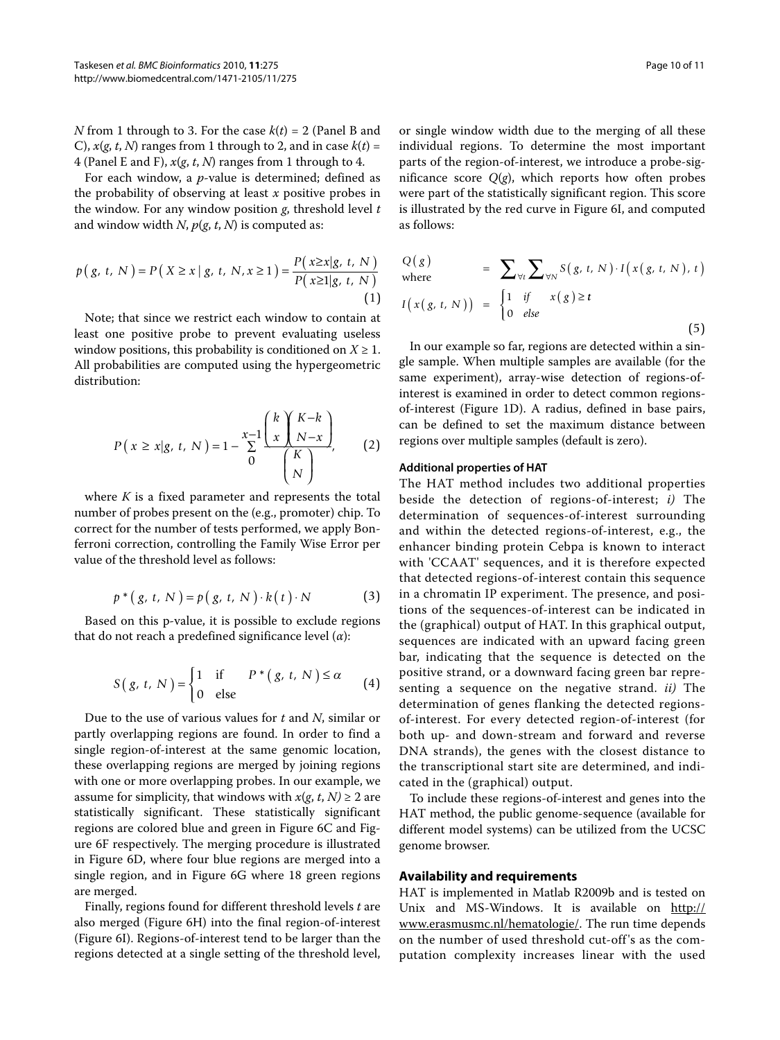*N* from 1 through to 3. For the case  $k(t) = 2$  (Panel B and C),  $x(g, t, N)$  ranges from 1 through to 2, and in case  $k(t) =$ 4 (Panel E and F),  $x(g, t, N)$  ranges from 1 through to 4.

For each window, a *p*-value is determined; defined as the probability of observing at least *x* positive probes in the window. For any window position *g*, threshold level *t* and window width *N*,  $p(g, t, N)$  is computed as:

$$
p(g, t, N) = P(X \ge x | g, t, N, x \ge 1) = \frac{P(x \ge x | g, t, N)}{P(x \ge 1 | g, t, N)}
$$
\n(1)

Note; that since we restrict each window to contain at least one positive probe to prevent evaluating useless window positions, this probability is conditioned on  $X \geq 1$ . All probabilities are computed using the hypergeometric distribution:

$$
P(x \ge x | g, t, N) = 1 - \sum_{i=0}^{N-1} \frac{\binom{k}{x} \binom{K-k}{N-x}}{\binom{K}{N}},
$$
 (2)

where  $K$  is a fixed parameter and represents the total number of probes present on the (e.g., promoter) chip. To correct for the number of tests performed, we apply Bonferroni correction, controlling the Family Wise Error per value of the threshold level as follows:

$$
p^* (g, t, N) = p(g, t, N) \cdot k(t) \cdot N
$$
 (3)

Based on this p-value, it is possible to exclude regions that do not reach a predefined significance level (*α*):

$$
S(g, t, N) = \begin{cases} 1 & \text{if } P^*(g, t, N) \le \alpha \\ 0 & \text{else} \end{cases}
$$
 (4)

Due to the use of various values for *t* and *N*, similar or partly overlapping regions are found. In order to find a single region-of-interest at the same genomic location, these overlapping regions are merged by joining regions with one or more overlapping probes. In our example, we assume for simplicity, that windows with  $x(g, t, N) \geq 2$  are statistically significant. These statistically significant regions are colored blue and green in Figure [6](#page-8-0)C and Figure [6F](#page-8-0) respectively. The merging procedure is illustrated in Figure [6D](#page-8-0), where four blue regions are merged into a single region, and in Figure [6](#page-8-0)G where 18 green regions are merged.

Finally, regions found for different threshold levels *t* are also merged (Figure [6](#page-8-0)H) into the final region-of-interest (Figure [6](#page-8-0)I). Regions-of-interest tend to be larger than the regions detected at a single setting of the threshold level, or single window width due to the merging of all these individual regions. To determine the most important parts of the region-of-interest, we introduce a probe-significance score *Q*(*g*), which reports how often probes were part of the statistically significant region. This score is illustrated by the red curve in Figure [6](#page-8-0)I, and computed as follows:

$$
Q(g)
$$
  
where  

$$
I(x(g, t, N)) = \begin{cases} 1 & \text{if } x(g) \ge t \\ 0 & \text{else} \end{cases}
$$

$$
I(x(g, t, N)) = \begin{cases} 1 & \text{if } x(g) \ge t \\ 0 & \text{else} \end{cases}
$$
(5)

In our example so far, regions are detected within a single sample. When multiple samples are available (for the same experiment), array-wise detection of regions-ofinterest is examined in order to detect common regionsof-interest (Figure [1](#page-1-0)D). A radius, defined in base pairs, can be defined to set the maximum distance between regions over multiple samples (default is zero).

#### **Additional properties of HAT**

The HAT method includes two additional properties beside the detection of regions-of-interest; *i)* The determination of sequences-of-interest surrounding and within the detected regions-of-interest, e.g., the enhancer binding protein Cebpa is known to interact with 'CCAAT' sequences, and it is therefore expected that detected regions-of-interest contain this sequence in a chromatin IP experiment. The presence, and positions of the sequences-of-interest can be indicated in the (graphical) output of HAT. In this graphical output, sequences are indicated with an upward facing green bar, indicating that the sequence is detected on the positive strand, or a downward facing green bar representing a sequence on the negative strand. *ii)* The determination of genes flanking the detected regionsof-interest. For every detected region-of-interest (for both up- and down-stream and forward and reverse DNA strands), the genes with the closest distance to the transcriptional start site are determined, and indicated in the (graphical) output.

To include these regions-of-interest and genes into the HAT method, the public genome-sequence (available for different model systems) can be utilized from the UCSC genome browser.

#### **Availability and requirements**

HAT is implemented in Matlab R2009b and is tested on Unix and MS-Windows. It is available on [http://](http://www.erasmusmc.nl/hematologie/) [www.erasmusmc.nl/hematologie/](http://www.erasmusmc.nl/hematologie/). The run time depends on the number of used threshold cut-off's as the computation complexity increases linear with the used